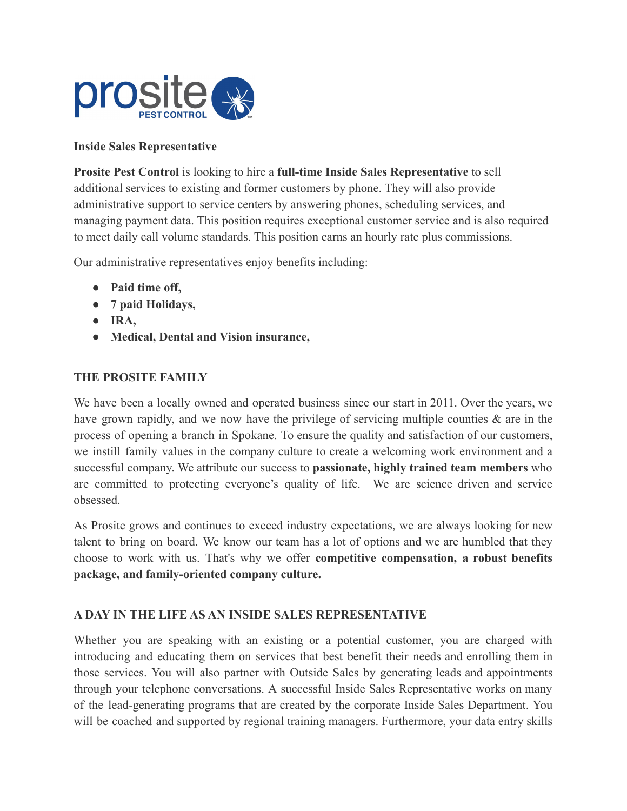

## **Inside Sales Representative**

**Prosite Pest Control** is looking to hire a **full-time Inside Sales Representative** to sell additional services to existing and former customers by phone. They will also provide administrative support to service centers by answering phones, scheduling services, and managing payment data. This position requires exceptional customer service and is also required to meet daily call volume standards. This position earns an hourly rate plus commissions.

Our administrative representatives enjoy benefits including:

- **Paid time off,**
- **7 paid Holidays,**
- **IRA,**
- **Medical, Dental and Vision insurance,**

### **THE PROSITE FAMILY**

We have been a locally owned and operated business since our start in 2011. Over the years, we have grown rapidly, and we now have the privilege of servicing multiple counties  $\&$  are in the process of opening a branch in Spokane. To ensure the quality and satisfaction of our customers, we instill family values in the company culture to create a welcoming work environment and a successful company. We attribute our success to **passionate, highly trained team members** who are committed to protecting everyone's quality of life. We are science driven and service obsessed.

As Prosite grows and continues to exceed industry expectations, we are always looking for new talent to bring on board. We know our team has a lot of options and we are humbled that they choose to work with us. That's why we offer **competitive compensation, a robust benefits package, and family-oriented company culture.**

#### **A DAY IN THE LIFE AS AN INSIDE SALES REPRESENTATIVE**

Whether you are speaking with an existing or a potential customer, you are charged with introducing and educating them on services that best benefit their needs and enrolling them in those services. You will also partner with Outside Sales by generating leads and appointments through your telephone conversations. A successful Inside Sales Representative works on many of the lead-generating programs that are created by the corporate Inside Sales Department. You will be coached and supported by regional training managers. Furthermore, your data entry skills